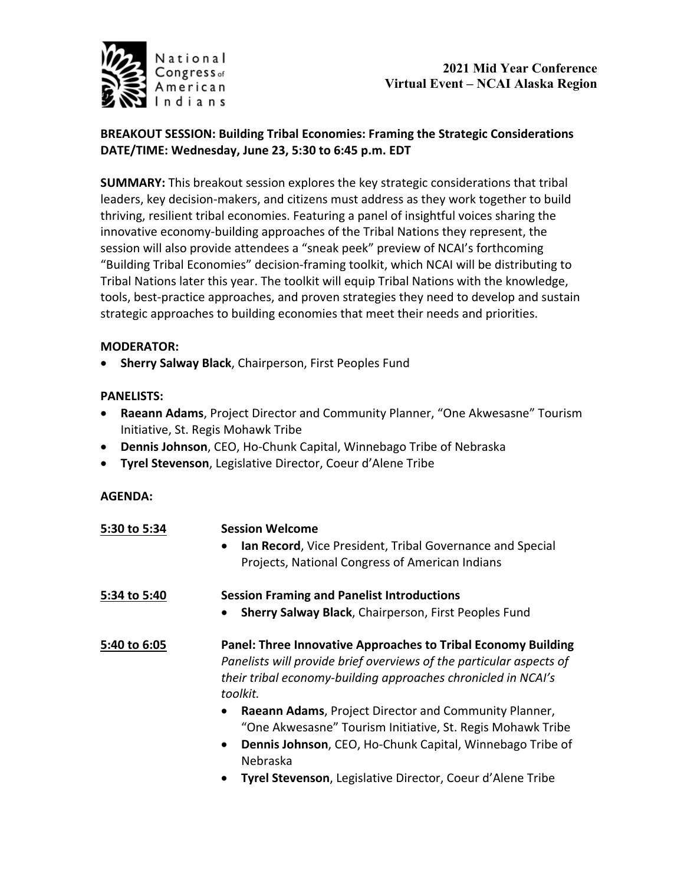

## **2021 Mid Year Conference Virtual Event – NCAI Alaska Region**

## **BREAKOUT SESSION: Building Tribal Economies: Framing the Strategic Considerations DATE/TIME: Wednesday, June 23, 5:30 to 6:45 p.m. EDT**

**SUMMARY:** This breakout session explores the key strategic considerations that tribal leaders, key decision-makers, and citizens must address as they work together to build thriving, resilient tribal economies. Featuring a panel of insightful voices sharing the innovative economy-building approaches of the Tribal Nations they represent, the session will also provide attendees a "sneak peek" preview of NCAI's forthcoming "Building Tribal Economies" decision-framing toolkit, which NCAI will be distributing to Tribal Nations later this year. The toolkit will equip Tribal Nations with the knowledge, tools, best-practice approaches, and proven strategies they need to develop and sustain strategic approaches to building economies that meet their needs and priorities.

### **MODERATOR:**

• **Sherry Salway Black**, Chairperson, First Peoples Fund

### **PANELISTS:**

- **Raeann Adams**, Project Director and Community Planner, "One Akwesasne" Tourism Initiative, St. Regis Mohawk Tribe
- **Dennis Johnson**, CEO, Ho-Chunk Capital, Winnebago Tribe of Nebraska
- **Tyrel Stevenson**, Legislative Director, Coeur d'Alene Tribe

#### **AGENDA:**

| 5:30 to 5:34 | <b>Session Welcome</b>                                                    |
|--------------|---------------------------------------------------------------------------|
|              | Ian Record, Vice President, Tribal Governance and Special                 |
|              | Projects, National Congress of American Indians                           |
| 5:34 to 5:40 | <b>Session Framing and Panelist Introductions</b>                         |
|              | Sherry Salway Black, Chairperson, First Peoples Fund                      |
| 5:40 to 6:05 | Panel: Three Innovative Approaches to Tribal Economy Building             |
|              | Panelists will provide brief overviews of the particular aspects of       |
|              | their tribal economy-building approaches chronicled in NCAI's<br>toolkit. |
|              | Raeann Adams, Project Director and Community Planner,                     |
|              | "One Akwesasne" Tourism Initiative, St. Regis Mohawk Tribe                |
|              | Dennis Johnson, CEO, Ho-Chunk Capital, Winnebago Tribe of<br>Nebraska     |
|              | Tyrel Stevenson, Legislative Director, Coeur d'Alene Tribe                |